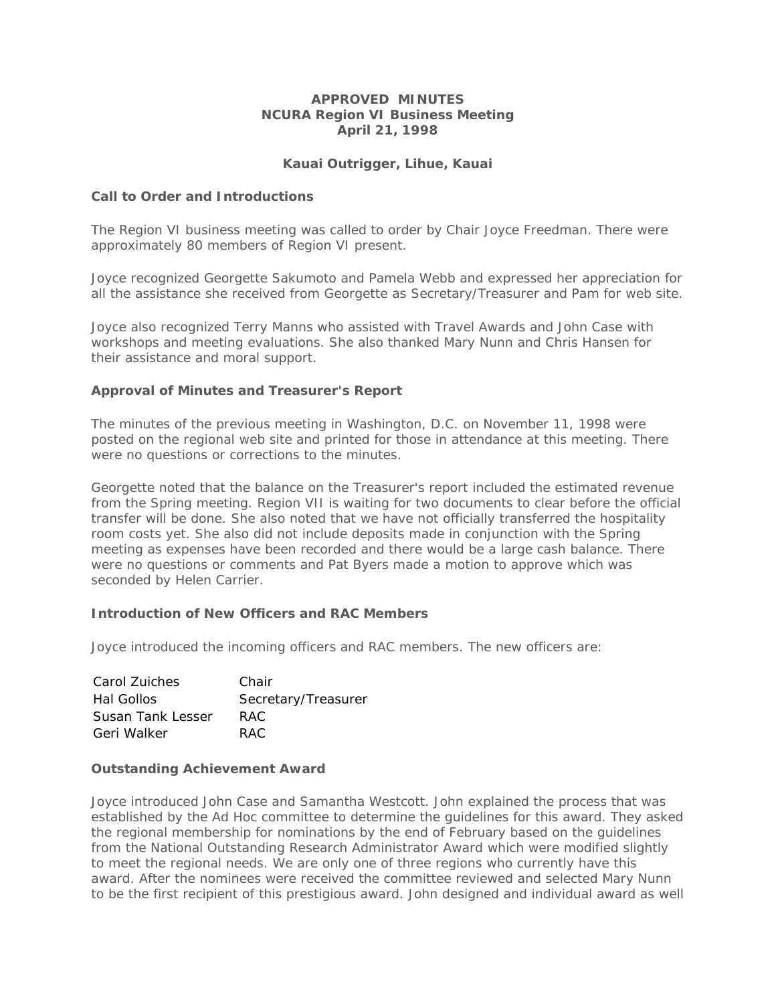## **APPROVED MINUTES NCURA Region VI Business Meeting April 21, 1998**

# **Kauai Outrigger, Lihue, Kauai**

#### **Call to Order and Introductions**

The Region VI business meeting was called to order by Chair Joyce Freedman. There were approximately 80 members of Region VI present.

Joyce recognized Georgette Sakumoto and Pamela Webb and expressed her appreciation for all the assistance she received from Georgette as Secretary/Treasurer and Pam for web site.

Joyce also recognized Terry Manns who assisted with Travel Awards and John Case with workshops and meeting evaluations. She also thanked Mary Nunn and Chris Hansen for their assistance and moral support.

### **Approval of Minutes and Treasurer's Report**

The minutes of the previous meeting in Washington, D.C. on November 11, 1998 were posted on the regional web site and printed for those in attendance at this meeting. There were no questions or corrections to the minutes.

Georgette noted that the balance on the Treasurer's report included the estimated revenue from the Spring meeting. Region VII is waiting for two documents to clear before the official transfer will be done. She also noted that we have not officially transferred the hospitality room costs yet. She also did not include deposits made in conjunction with the Spring meeting as expenses have been recorded and there would be a large cash balance. There were no questions or comments and Pat Byers made a motion to approve which was seconded by Helen Carrier.

#### **Introduction of New Officers and RAC Members**

Joyce introduced the incoming officers and RAC members. The new officers are:

| Carol Zuiches     | Chair               |
|-------------------|---------------------|
| Hal Gollos        | Secretary/Treasurer |
| Susan Tank Lesser | RAC.                |
| Geri Walker       | RAC.                |

#### **Outstanding Achievement Award**

Joyce introduced John Case and Samantha Westcott. John explained the process that was established by the Ad Hoc committee to determine the guidelines for this award. They asked the regional membership for nominations by the end of February based on the guidelines from the National Outstanding Research Administrator Award which were modified slightly to meet the regional needs. We are only one of three regions who currently have this award. After the nominees were received the committee reviewed and selected Mary Nunn to be the first recipient of this prestigious award. John designed and individual award as well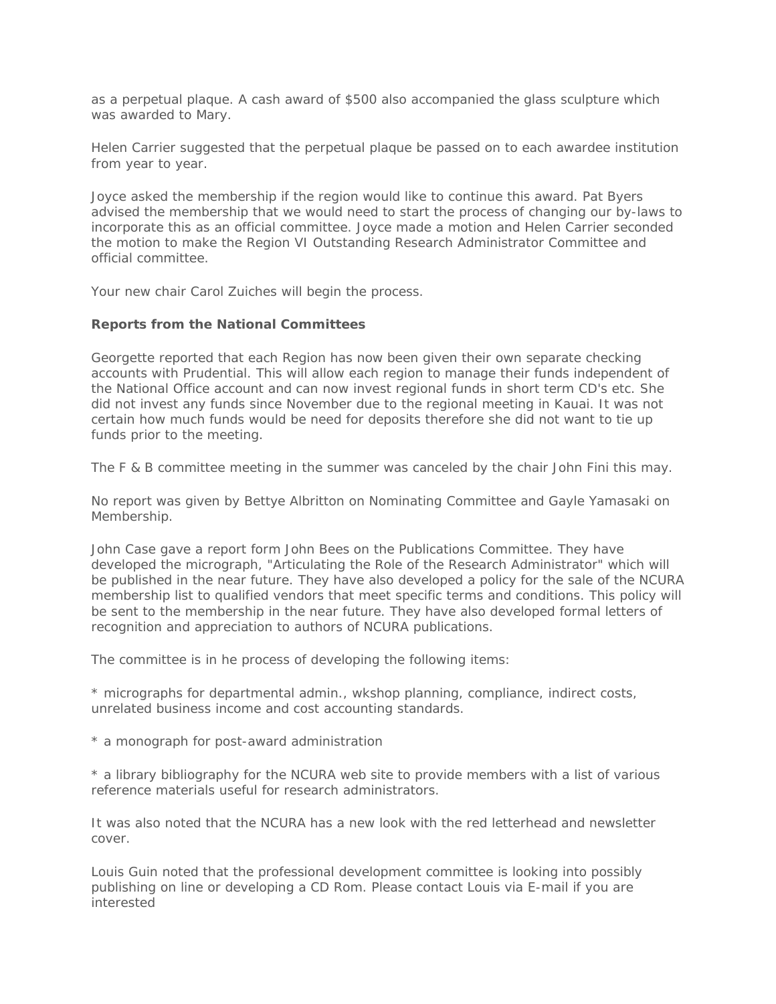as a perpetual plaque. A cash award of \$500 also accompanied the glass sculpture which was awarded to Mary.

Helen Carrier suggested that the perpetual plaque be passed on to each awardee institution from year to year.

Joyce asked the membership if the region would like to continue this award. Pat Byers advised the membership that we would need to start the process of changing our by-laws to incorporate this as an official committee. Joyce made a motion and Helen Carrier seconded the motion to make the Region VI Outstanding Research Administrator Committee and official committee.

Your new chair Carol Zuiches will begin the process.

### **Reports from the National Committees**

Georgette reported that each Region has now been given their own separate checking accounts with Prudential. This will allow each region to manage their funds independent of the National Office account and can now invest regional funds in short term CD's etc. She did not invest any funds since November due to the regional meeting in Kauai. It was not certain how much funds would be need for deposits therefore she did not want to tie up funds prior to the meeting.

The F & B committee meeting in the summer was canceled by the chair John Fini this may.

No report was given by Bettye Albritton on Nominating Committee and Gayle Yamasaki on Membership.

John Case gave a report form John Bees on the Publications Committee. They have developed the micrograph, "Articulating the Role of the Research Administrator" which will be published in the near future. They have also developed a policy for the sale of the NCURA membership list to qualified vendors that meet specific terms and conditions. This policy will be sent to the membership in the near future. They have also developed formal letters of recognition and appreciation to authors of NCURA publications.

The committee is in he process of developing the following items:

\* micrographs for departmental admin., wkshop planning, compliance, indirect costs, unrelated business income and cost accounting standards.

\* a monograph for post-award administration

\* a library bibliography for the NCURA web site to provide members with a list of various reference materials useful for research administrators.

It was also noted that the NCURA has a new look with the red letterhead and newsletter cover.

Louis Guin noted that the professional development committee is looking into possibly publishing on line or developing a CD Rom. Please contact Louis via E-mail if you are interested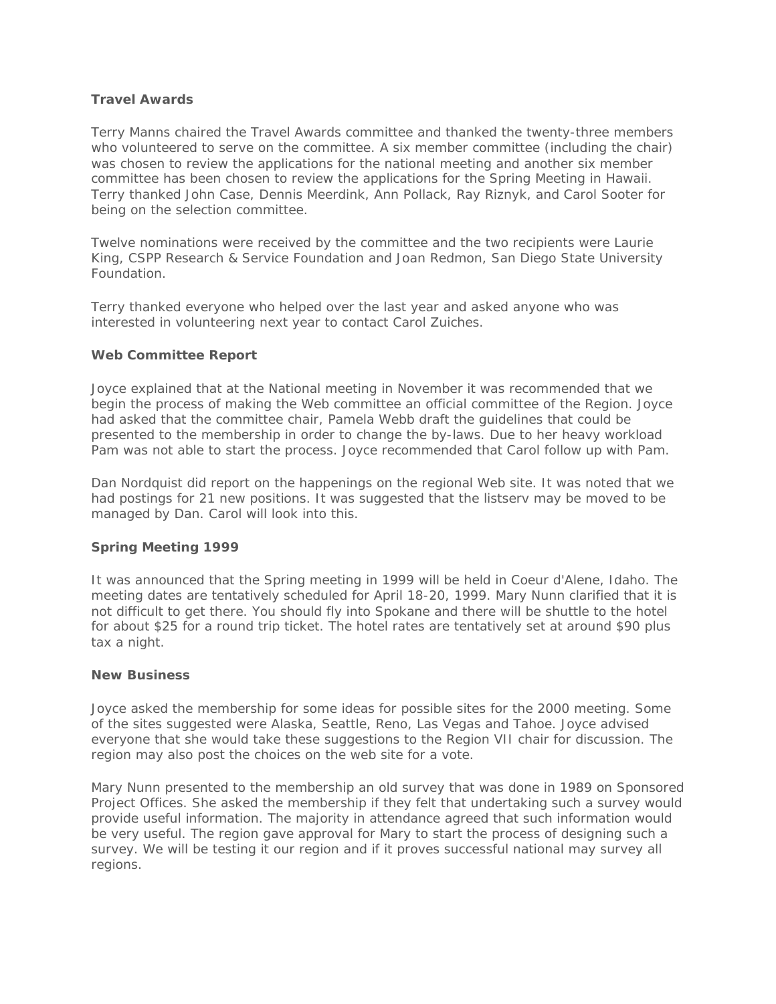## **Travel Awards**

Terry Manns chaired the Travel Awards committee and thanked the twenty-three members who volunteered to serve on the committee. A six member committee (including the chair) was chosen to review the applications for the national meeting and another six member committee has been chosen to review the applications for the Spring Meeting in Hawaii. Terry thanked John Case, Dennis Meerdink, Ann Pollack, Ray Riznyk, and Carol Sooter for being on the selection committee.

Twelve nominations were received by the committee and the two recipients were Laurie King, CSPP Research & Service Foundation and Joan Redmon, San Diego State University Foundation.

Terry thanked everyone who helped over the last year and asked anyone who was interested in volunteering next year to contact Carol Zuiches.

### **Web Committee Report**

Joyce explained that at the National meeting in November it was recommended that we begin the process of making the Web committee an official committee of the Region. Joyce had asked that the committee chair, Pamela Webb draft the guidelines that could be presented to the membership in order to change the by-laws. Due to her heavy workload Pam was not able to start the process. Joyce recommended that Carol follow up with Pam.

Dan Nordquist did report on the happenings on the regional Web site. It was noted that we had postings for 21 new positions. It was suggested that the listserv may be moved to be managed by Dan. Carol will look into this.

# **Spring Meeting 1999**

It was announced that the Spring meeting in 1999 will be held in Coeur d'Alene, Idaho. The meeting dates are tentatively scheduled for April 18-20, 1999. Mary Nunn clarified that it is not difficult to get there. You should fly into Spokane and there will be shuttle to the hotel for about \$25 for a round trip ticket. The hotel rates are tentatively set at around \$90 plus tax a night.

#### **New Business**

Joyce asked the membership for some ideas for possible sites for the 2000 meeting. Some of the sites suggested were Alaska, Seattle, Reno, Las Vegas and Tahoe. Joyce advised everyone that she would take these suggestions to the Region VII chair for discussion. The region may also post the choices on the web site for a vote.

Mary Nunn presented to the membership an old survey that was done in 1989 on Sponsored Project Offices. She asked the membership if they felt that undertaking such a survey would provide useful information. The majority in attendance agreed that such information would be very useful. The region gave approval for Mary to start the process of designing such a survey. We will be testing it our region and if it proves successful national may survey all regions.